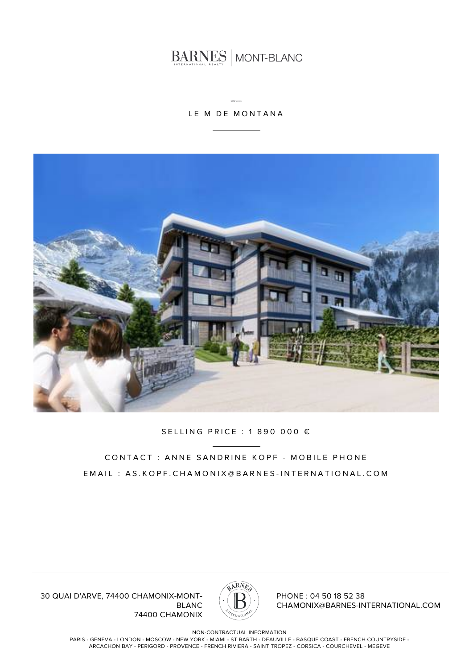BARNES MONT-BLANC

### LE M DE MONTANA



#### SELLING PRICE : 1 890 000 €

## CONTACT : ANNE SANDRINE KOPF - MOBILE PHONE EMAIL : AS.KOPF.CHAMONIX@BARNES-INTERNATIONAL.COM

30 QUAI D'ARVE, 74400 CHAMONIX-MONT-BLANC 74400 CHAMONIX



PHONE : 04 50 18 52 38 CHAMONIX@BARNES-INTERNATIONAL.COM

NON-CONTRACTUAL INFORMATION

PARIS - GENEVA - LONDON - MOSCOW - NEW YORK - MIAMI - ST BARTH - DEAUVILLE - BASQUE COAST - FRENCH COUNTRYSIDE - ARCACHON BAY - PERIGORD - PROVENCE - FRENCH RIVIERA - SAINT TROPEZ - CORSICA - COURCHEVEL - MEGEVE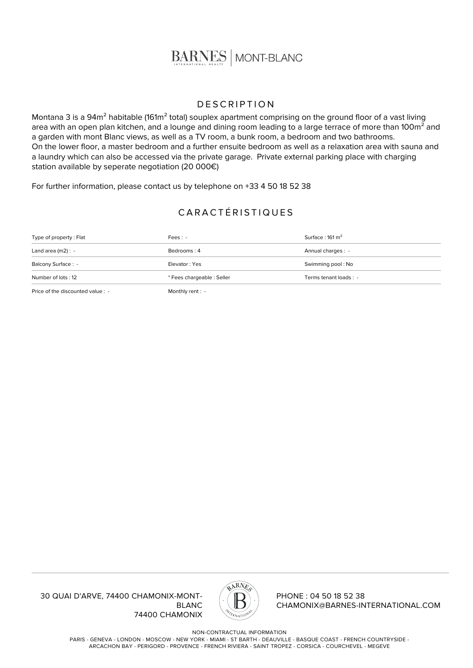

#### **DESCRIPTION**

Montana 3 is a 94m<sup>2</sup> habitable (161m<sup>2</sup> total) souplex apartment comprising on the ground floor of a vast living area with an open plan kitchen, and a lounge and dining room leading to a large terrace of more than 100m<sup>2</sup> and a garden with mont Blanc views, as well as a TV room, a bunk room, a bedroom and two bathrooms. On the lower floor, a master bedroom and a further ensuite bedroom as well as a relaxation area with sauna and a laundry which can also be accessed via the private garage. Private external parking place with charging station available by seperate negotiation (20 000€)

For further information, please contact us by telephone on +33 4 50 18 52 38

## CARACTÉRISTIQUES

| Number of lots: 12      | * Fees chargeable : Seller | Terms tenant loads : -     |
|-------------------------|----------------------------|----------------------------|
| Balcony Surface: -      | Elevator: Yes              | Swimming pool: No          |
| Land area $(m2)$ : -    | Bedrooms: 4                | Annual charges : -         |
| Type of property : Flat | $Fees: -$                  | Surface: $161 \text{ m}^2$ |

Price of the discounted value : - Monthly rent : -

30 QUAI D'ARVE, 74400 CHAMONIX-MONT-BLANC 74400 CHAMONIX



PHONE : 04 50 18 52 38 CHAMONIX@BARNES-INTERNATIONAL.COM

NON-CONTRACTUAL INFORMATION

PARIS - GENEVA - LONDON - MOSCOW - NEW YORK - MIAMI - ST BARTH - DEAUVILLE - BASQUE COAST - FRENCH COUNTRYSIDE - ARCACHON BAY - PERIGORD - PROVENCE - FRENCH RIVIERA - SAINT TROPEZ - CORSICA - COURCHEVEL - MEGEVE